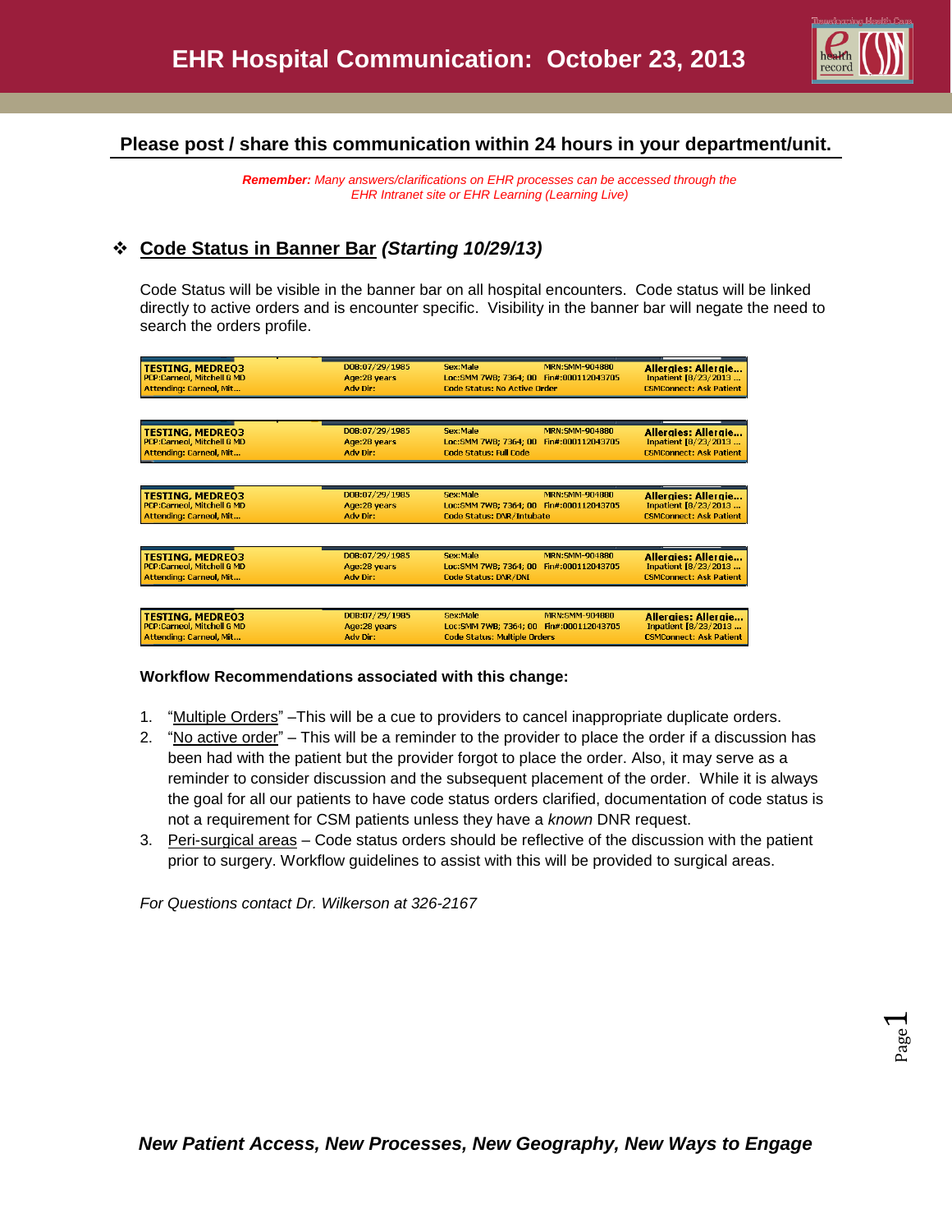

Page  $\overline{\phantom{0}}$ 

## **Please post / share this communication within 24 hours in your department/unit.**

*Remember: Many answers/clarifications on EHR processes can be accessed through the EHR Intranet site or EHR Learning (Learning Live)*

## **Code Status in Banner Bar** *(Starting 10/29/13)*

Code Status will be visible in the banner bar on all hospital encounters. Code status will be linked directly to active orders and is encounter specific. Visibility in the banner bar will negate the need to search the orders profile.

| <b>TESTING, MEDREO3</b><br>PCP:Carneol, Mitchell G MD<br>Attending: Carneol, Mit               | DOB:07/29/1985<br>Age:28 years<br>Adv Dir:  | Sex:Male<br><b>MRN:SMM-904880</b><br>Loc:SMM 7WB; 7364; 00 Fin#:000112043705<br><b>Code Status: No Active Order</b>    | Alleraies: Alleraie<br>Inpatient [8/23/2013<br><b>CSMConnect: Ask Patient</b>        |
|------------------------------------------------------------------------------------------------|---------------------------------------------|------------------------------------------------------------------------------------------------------------------------|--------------------------------------------------------------------------------------|
| <b>TESTING, MEDREO3</b><br><b>PCP:Carneol, Mitchell G MD</b><br><b>Attending: Carneol, Mit</b> | DOB:07/29/1985<br>Age:28 years<br>Adv Dir:  | Sex:Male<br>MRN:SMM-904880<br>Loc: SMM 7WB: 7364: 00<br>Fin#:000112043705<br><b>Code Status: Full Code</b>             | Alleraies: Alleraie<br>Inpatient [8/23/2013<br><b>CSMConnect: Ask Patient</b>        |
| <b>TESTING, MEDREO3</b><br>PCP:Carneol, Mitchell G MD<br><b>Attending: Carneol, Mit</b>        | DOB:07/29/1985<br>Age:28 years<br>Adv Dir:  | Sex:Male<br><b>MRN:SMM-904880</b><br>Loc:SMM 7WB; 7364; 00 Fin#:000112043705<br><b>Code Status: DNR/Intubate</b>       | <b>Allergies: Allergie</b><br>Inpatient [8/23/2013<br><b>CSMConnect: Ask Patient</b> |
| <b>TESTING, MEDREO3</b><br>PCP:Carneol, Mitchell G MD<br><b>Attending: Carneol, Mit</b>        | DOB:07/29/1985<br>Age: 28 years<br>Adv Dir: | Sex:Male<br><b>MRN:SMM-904880</b><br>Loc:SMM 7WB; 7364; 00<br>Fin#:000112043705<br>Code Status: DNR/DNI                | <b>Allergies: Allergie</b><br>Inpatient [8/23/2013<br><b>CSMConnect: Ask Patient</b> |
| <b>TESTING, MEDREO3</b><br>PCP:Carneol, Mitchell G MD<br>Attending: Carneol, Mit               | DOB:07/29/1985<br>Age:28 years<br>Adv Dir:  | Sex:Male<br><b>MRN:SMM-904880</b><br>Loc:SMM 7WB; 7364; 00<br>Fin#:000112043705<br><b>Code Status: Multiple Orders</b> | Alleraies: Alleraie<br>Inpatient [8/23/2013<br><b>CSMConnect: Ask Patient</b>        |

## **Workflow Recommendations associated with this change:**

- 1. "Multiple Orders" –This will be a cue to providers to cancel inappropriate duplicate orders.
- 2. "No active order" This will be a reminder to the provider to place the order if a discussion has been had with the patient but the provider forgot to place the order. Also, it may serve as a reminder to consider discussion and the subsequent placement of the order. While it is always the goal for all our patients to have code status orders clarified, documentation of code status is not a requirement for CSM patients unless they have a *known* DNR request.
- 3. Peri-surgical areas Code status orders should be reflective of the discussion with the patient prior to surgery. Workflow guidelines to assist with this will be provided to surgical areas.

*For Questions contact Dr. Wilkerson at 326-2167*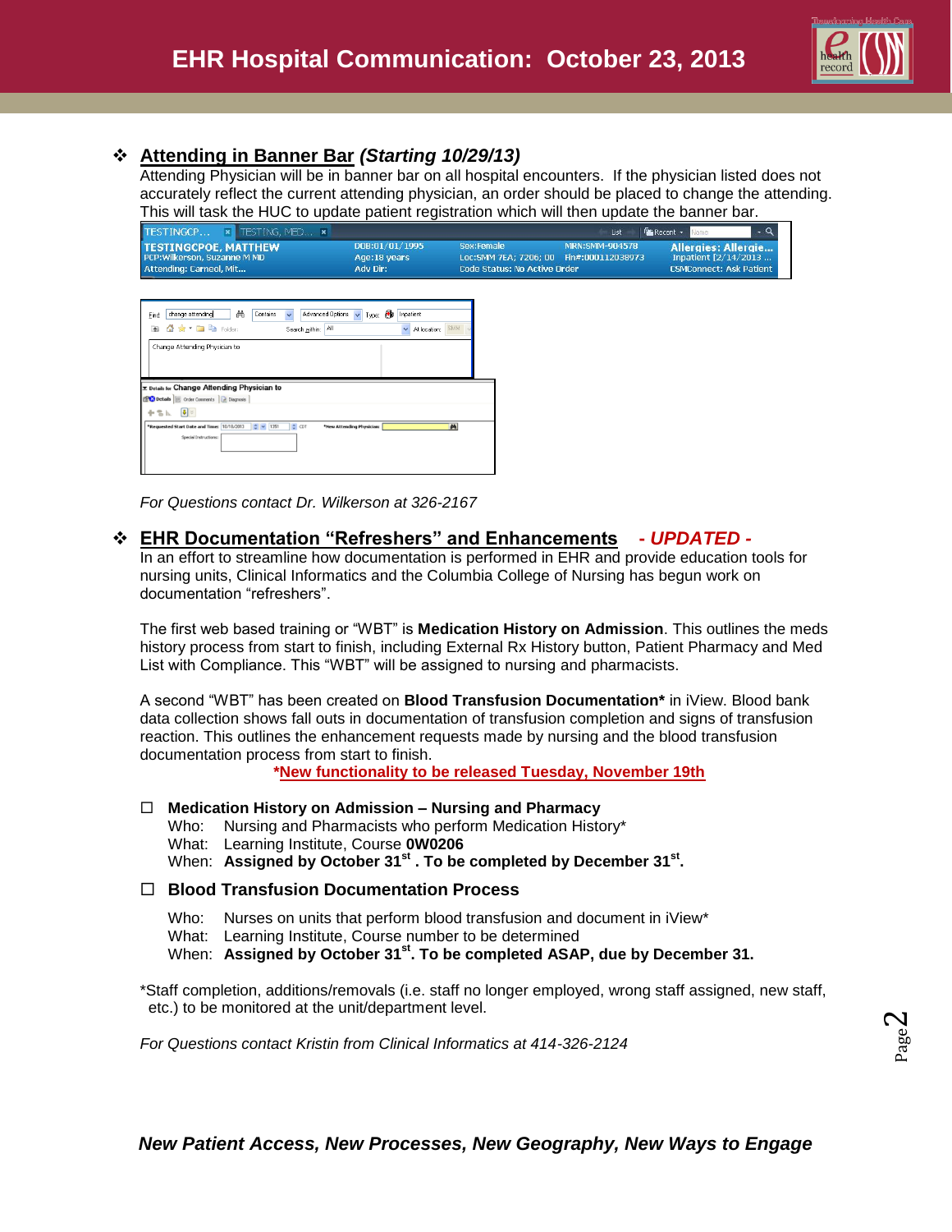

## **Attending in Banner Bar** *(Starting 10/29/13)*

Attending Physician will be in banner bar on all hospital encounters. If the physician listed does not accurately reflect the current attending physician, an order should be placed to change the attending. This will task the HUC to update patient registration which will then update the banner bar.

| TESTINGCP<br>$\cdot$ a<br><b>x</b> TESTING, MED <b>x</b><br><b>For</b> Recent -<br>List<br>Name |                                             |                                                                                                |                                                                                                           |  |
|-------------------------------------------------------------------------------------------------|---------------------------------------------|------------------------------------------------------------------------------------------------|-----------------------------------------------------------------------------------------------------------|--|
| <b>TESTINGCPOE, MATTHEW,</b><br>PCP: Wilkerson, Suzanne M MD<br>Attending: Carneol, Mit         | DOB:01/01/1995<br>Age: 18 years<br>Adv Dir: | Sex:Female<br>Loc: SMM 7EA: 7206: 00 Fin#: 000112038973<br><b>Code Status: No Active Order</b> | MRN:SMM-904578<br><b>Allergies: Allergie</b><br>Inpatient $[2/14/2013]$<br><b>CSMConnect: Ask Patient</b> |  |
| 菡<br>Advanced Options<br>Contains<br>change attending<br>Find                                   | Type: <b>B</b> Inpatient                    |                                                                                                |                                                                                                           |  |

| Find:<br>change attending<br>m<br>Contains                                                       | Advanced Uptions<br>$\checkmark$<br>Type: 12<br>inpatient<br>$\checkmark$ |  |
|--------------------------------------------------------------------------------------------------|---------------------------------------------------------------------------|--|
| 企 会 ▼ ■ ■ Folder:<br>$\uparrow$                                                                  | <b>SMM</b><br>Αl<br>$\ddotmark$<br>At location:<br>Search within:         |  |
| Change Attending Physician to                                                                    |                                                                           |  |
|                                                                                                  |                                                                           |  |
| <b>E Details for Change Attending Physician to</b><br>Details   Cycler Comments   2 Diagnosis    |                                                                           |  |
| $\vert \mathbf{0} \vert \times$<br>十名以                                                           |                                                                           |  |
| *Requested Start Date and Time: 10/18/2013<br>$\frac{1}{2}$ $\sim$ 1351<br>Special Instructions: | 州<br>$\div$ CDT<br>*New Attending Physician:                              |  |

*For Questions contact Dr. Wilkerson at 326-2167*

## **EHR Documentation "Refreshers" and Enhancements -** *UPDATED -*

In an effort to streamline how documentation is performed in EHR and provide education tools for nursing units, Clinical Informatics and the Columbia College of Nursing has begun work on documentation "refreshers".

The first web based training or "WBT" is **Medication History on Admission**. This outlines the meds history process from start to finish, including External Rx History button, Patient Pharmacy and Med List with Compliance. This "WBT" will be assigned to nursing and pharmacists.

A second "WBT" has been created on **Blood Transfusion Documentation\*** in iView. Blood bank data collection shows fall outs in documentation of transfusion completion and signs of transfusion reaction. This outlines the enhancement requests made by nursing and the blood transfusion documentation process from start to finish.

**\*New functionality to be released Tuesday, November 19th**

#### **Medication History on Admission – Nursing and Pharmacy**

- Who: Nursing and Pharmacists who perform Medication History\*
- What: Learning Institute, Course **0W0206**
- When: Assigned by October 31<sup>st</sup> . To be completed by December 31<sup>st</sup>.

## **Blood Transfusion Documentation Process**

- Who: Nurses on units that perform blood transfusion and document in iView\*
- What: Learning Institute, Course number to be determined

When: **Assigned by October 31st. To be completed ASAP, due by December 31.**

\*Staff completion, additions/removals (i.e. staff no longer employed, wrong staff assigned, new staff, etc.) to be monitored at the unit/department level.

*For Questions contact Kristin from Clinical Informatics at 414-326-2124*